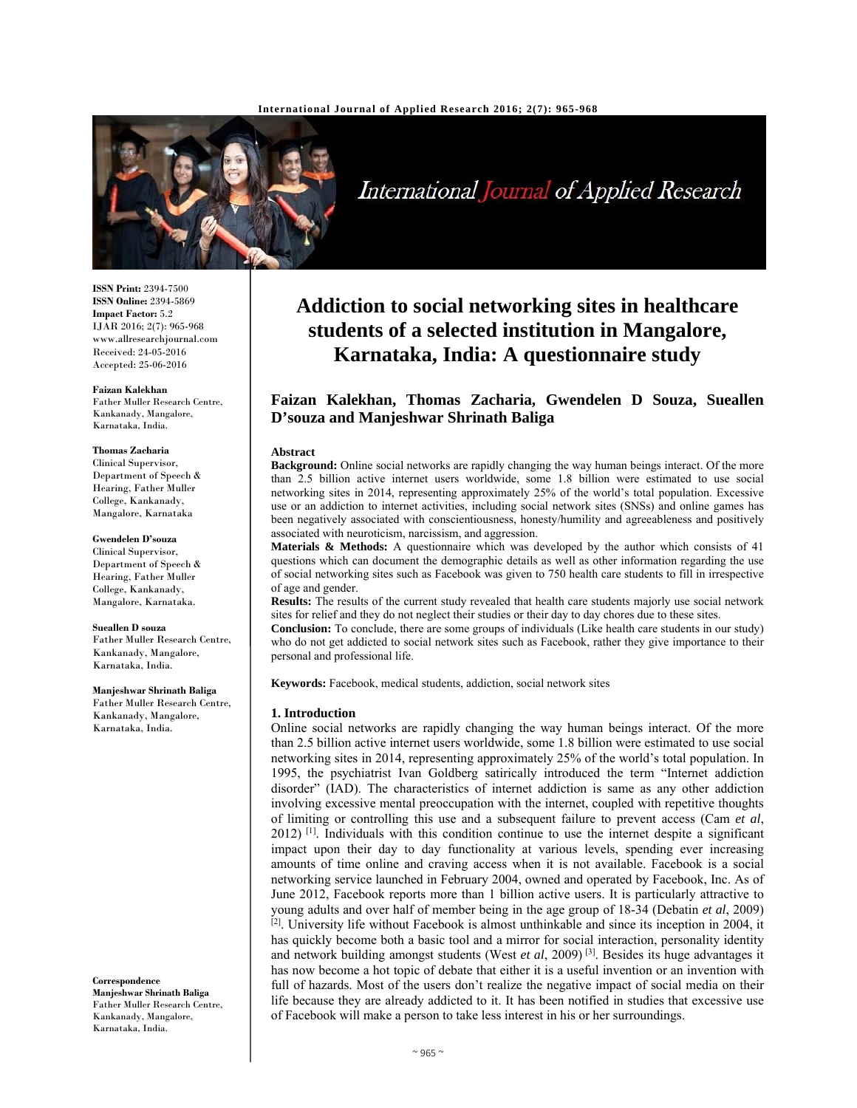

International Journal of Applied Research

#### **ISSN Print:** 2394-7500 **ISSN Online:** 2394-5869 **Impact Factor:** 5.2 IJAR 2016; 2(7): 965-968 www.allresearchjournal.com Received: 24-05-2016 Accepted: 25-06-2016

**Faizan Kalekhan**  Father Muller Research Centre, Kankanady, Mangalore, Karnataka, India.

#### **Thomas Zacharia**

Clinical Supervisor, Department of Speech & Hearing, Father Muller College, Kankanady, Mangalore, Karnataka

# **Gwendelen D'souza**

Clinical Supervisor, Department of Speech & Hearing, Father Muller College, Kankanady, Mangalore, Karnataka.

### **Sueallen D souza**

Father Muller Research Centre, Kankanady, Mangalore, Karnataka, India.

#### **Manjeshwar Shrinath Baliga**  Father Muller Research Centre, Kankanady, Mangalore, Karnataka, India.

**Correspondence Manjeshwar Shrinath Baliga**  Father Muller Research Centre, Kankanady, Mangalore, Karnataka, India.

# **Addiction to social networking sites in healthcare students of a selected institution in Mangalore, Karnataka, India: A questionnaire study**

# **Faizan Kalekhan, Thomas Zacharia, Gwendelen D Souza, Sueallen D'souza and Manjeshwar Shrinath Baliga**

#### **Abstract**

**Background:** Online social networks are rapidly changing the way human beings interact. Of the more than 2.5 billion active internet users worldwide, some 1.8 billion were estimated to use social networking sites in 2014, representing approximately 25% of the world's total population. Excessive use or an addiction to internet activities, including social network sites (SNSs) and online games has been negatively associated with conscientiousness, honesty/humility and agreeableness and positively associated with neuroticism, narcissism, and aggression.

**Materials & Methods:** A questionnaire which was developed by the author which consists of 41 questions which can document the demographic details as well as other information regarding the use of social networking sites such as Facebook was given to 750 health care students to fill in irrespective of age and gender.

**Results:** The results of the current study revealed that health care students majorly use social network sites for relief and they do not neglect their studies or their day to day chores due to these sites.

**Conclusion:** To conclude, there are some groups of individuals (Like health care students in our study) who do not get addicted to social network sites such as Facebook, rather they give importance to their personal and professional life.

**Keywords:** Facebook, medical students, addiction, social network sites

#### **1. Introduction**

Online social networks are rapidly changing the way human beings interact. Of the more than 2.5 billion active internet users worldwide, some 1.8 billion were estimated to use social networking sites in 2014, representing approximately 25% of the world's total population. In 1995, the psychiatrist Ivan Goldberg satirically introduced the term "Internet addiction disorder" (IAD). The characteristics of internet addiction is same as any other addiction involving excessive mental preoccupation with the internet, coupled with repetitive thoughts of limiting or controlling this use and a subsequent failure to prevent access (Cam *et al*, 2012) <sup>[1]</sup>. Individuals with this condition continue to use the internet despite a significant impact upon their day to day functionality at various levels, spending ever increasing amounts of time online and craving access when it is not available. Facebook is a social networking service launched in February 2004, owned and operated by Facebook, Inc. As of June 2012, Facebook reports more than 1 billion active users. It is particularly attractive to young adults and over half of member being in the age group of 18-34 (Debatin *et al*, 2009) <sup>[2]</sup>. University life without Facebook is almost unthinkable and since its inception in 2004, it has quickly become both a basic tool and a mirror for social interaction, personality identity and network building amongst students (West *et al*, 2009) [3]. Besides its huge advantages it has now become a hot topic of debate that either it is a useful invention or an invention with full of hazards. Most of the users don't realize the negative impact of social media on their life because they are already addicted to it. It has been notified in studies that excessive use of Facebook will make a person to take less interest in his or her surroundings.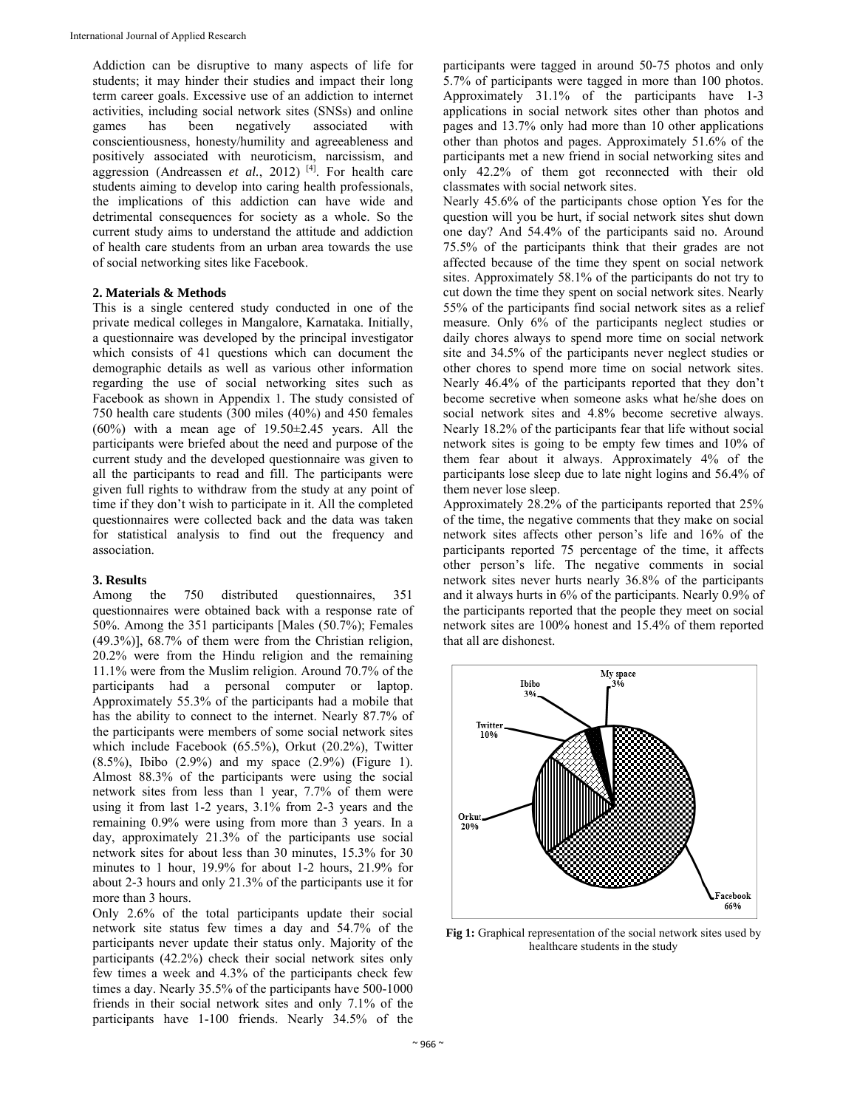Addiction can be disruptive to many aspects of life for students; it may hinder their studies and impact their long term career goals. Excessive use of an addiction to internet activities, including social network sites (SNSs) and online games has been negatively associated with conscientiousness, honesty/humility and agreeableness and positively associated with neuroticism, narcissism, and aggression (Andreassen *et al.*, 2012)<sup>[4]</sup>. For health care students aiming to develop into caring health professionals, the implications of this addiction can have wide and detrimental consequences for society as a whole. So the current study aims to understand the attitude and addiction of health care students from an urban area towards the use of social networking sites like Facebook.

# **2. Materials & Methods**

This is a single centered study conducted in one of the private medical colleges in Mangalore, Karnataka. Initially, a questionnaire was developed by the principal investigator which consists of 41 questions which can document the demographic details as well as various other information regarding the use of social networking sites such as Facebook as shown in Appendix 1. The study consisted of 750 health care students (300 miles (40%) and 450 females  $(60\%)$  with a mean age of 19.50 $\pm$ 2.45 years. All the participants were briefed about the need and purpose of the current study and the developed questionnaire was given to all the participants to read and fill. The participants were given full rights to withdraw from the study at any point of time if they don't wish to participate in it. All the completed questionnaires were collected back and the data was taken for statistical analysis to find out the frequency and association.

# **3. Results**

Among the 750 distributed questionnaires, 351 questionnaires were obtained back with a response rate of 50%. Among the 351 participants [Males (50.7%); Females (49.3%)], 68.7% of them were from the Christian religion, 20.2% were from the Hindu religion and the remaining 11.1% were from the Muslim religion. Around 70.7% of the participants had a personal computer or laptop. Approximately 55.3% of the participants had a mobile that has the ability to connect to the internet. Nearly 87.7% of the participants were members of some social network sites which include Facebook (65.5%), Orkut (20.2%), Twitter (8.5%), Ibibo (2.9%) and my space (2.9%) (Figure 1). Almost 88.3% of the participants were using the social network sites from less than 1 year, 7.7% of them were using it from last 1-2 years, 3.1% from 2-3 years and the remaining 0.9% were using from more than 3 years. In a day, approximately 21.3% of the participants use social network sites for about less than 30 minutes, 15.3% for 30 minutes to 1 hour, 19.9% for about 1-2 hours, 21.9% for about 2-3 hours and only 21.3% of the participants use it for more than 3 hours.

Only 2.6% of the total participants update their social network site status few times a day and 54.7% of the participants never update their status only. Majority of the participants (42.2%) check their social network sites only few times a week and 4.3% of the participants check few times a day. Nearly 35.5% of the participants have 500-1000 friends in their social network sites and only 7.1% of the participants have 1-100 friends. Nearly 34.5% of the

participants were tagged in around 50-75 photos and only 5.7% of participants were tagged in more than 100 photos. Approximately 31.1% of the participants have 1-3 applications in social network sites other than photos and pages and 13.7% only had more than 10 other applications other than photos and pages. Approximately 51.6% of the participants met a new friend in social networking sites and only 42.2% of them got reconnected with their old classmates with social network sites.

Nearly 45.6% of the participants chose option Yes for the question will you be hurt, if social network sites shut down one day? And 54.4% of the participants said no. Around 75.5% of the participants think that their grades are not affected because of the time they spent on social network sites. Approximately 58.1% of the participants do not try to cut down the time they spent on social network sites. Nearly 55% of the participants find social network sites as a relief measure. Only 6% of the participants neglect studies or daily chores always to spend more time on social network site and 34.5% of the participants never neglect studies or other chores to spend more time on social network sites. Nearly 46.4% of the participants reported that they don't become secretive when someone asks what he/she does on social network sites and 4.8% become secretive always. Nearly 18.2% of the participants fear that life without social network sites is going to be empty few times and 10% of them fear about it always. Approximately 4% of the participants lose sleep due to late night logins and 56.4% of them never lose sleep.

Approximately 28.2% of the participants reported that 25% of the time, the negative comments that they make on social network sites affects other person's life and 16% of the participants reported 75 percentage of the time, it affects other person's life. The negative comments in social network sites never hurts nearly 36.8% of the participants and it always hurts in 6% of the participants. Nearly 0.9% of the participants reported that the people they meet on social network sites are 100% honest and 15.4% of them reported that all are dishonest.



**Fig 1:** Graphical representation of the social network sites used by healthcare students in the study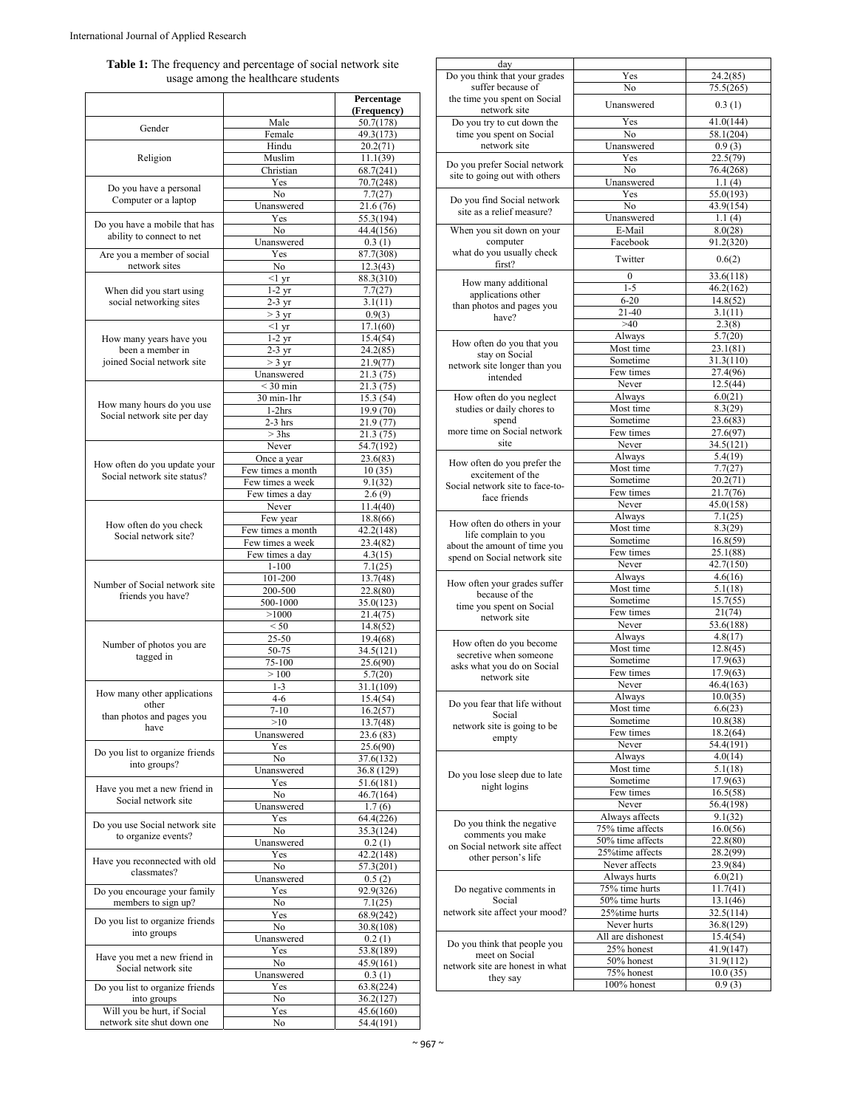|                                     | <b>Table 1:</b> The frequency and percentage of social network site |  |
|-------------------------------------|---------------------------------------------------------------------|--|
| usage among the healthcare students |                                                                     |  |

|                                                           |                       | Percentage               |
|-----------------------------------------------------------|-----------------------|--------------------------|
|                                                           |                       | (Frequency)<br>50.7(178) |
| Gender                                                    | Male<br>Female        | 49.3(173)                |
| Religion                                                  | Hindu                 | 20.2(71)                 |
|                                                           | Muslim                | 11.1(39)                 |
|                                                           | Christian             | 68.7(241)                |
|                                                           | Yes                   | 70.7(248)                |
| Do you have a personal<br>Computer or a laptop            | No                    | 7.7(27)                  |
|                                                           | Unanswered            | 21.6 (76)                |
| Do you have a mobile that has                             | Yes                   | 55.3(194)                |
| ability to connect to net                                 | $\overline{N_{0}}$    | 44.4(156)                |
|                                                           | Unanswered            | 0.3(1)                   |
| Are you a member of social<br>network sites               | Yes<br>No.            | 87.7(308)                |
|                                                           | <1 yr                 | 12.3(43)<br>88.3(310)    |
| When did you start using<br>social networking sites       | $1-2$ yr              | 7.7(27)                  |
|                                                           | 2-3 yr                | 3.1(11)                  |
|                                                           | $>$ 3 yr              | 0.9(3)                   |
|                                                           | $<1$ yr               | 17.1(60)                 |
| How many years have you                                   | $1-2$ yr              | 15.4(54)                 |
| been a member in                                          | $2-3 \text{ yr}$      | 24.2(85)                 |
| joined Social network site                                | $>$ 3 yr              | 21.9(77)                 |
|                                                           | Unanswered            | 21.3(75)                 |
|                                                           | $<$ 30 min            | 21.3 (75)                |
| How many hours do you use                                 | $30$ min- $1$ hr      | 15.3(54)                 |
| Social network site per day                               | $1-2hrs$              | 19.9 (70)                |
|                                                           | $2-3$ hrs<br>$> 3$ hs | 21.9 (77)                |
|                                                           | Never                 | 21.3(75)<br>54.7(192)    |
|                                                           | Once a year           | 23.6(83)                 |
| How often do you update your                              | Few times a month     | 10(35)                   |
| Social network site status?                               | Few times a week      | 9.1(32)                  |
|                                                           | Few times a day       | 2.6(9)                   |
|                                                           | Never                 | 11.4(40)                 |
|                                                           | Few year              | 18.8(66)                 |
| How often do you check<br>Social network site?            | Few times a month     | 42.2(148)                |
|                                                           | Few times a week      | 23.4(82)                 |
|                                                           | Few times a day       | 4.3(15)                  |
|                                                           | $1 - 100$             | 7.1(25)                  |
| Number of Social network site                             | 101-200               | 13.7(48)                 |
| friends you have?                                         | 200-500               | 22.8(80)                 |
|                                                           | 500-1000              | 35.0(123)                |
|                                                           | >1000<br>< 50         | 21.4(75)                 |
|                                                           | 25-50                 | 14.8(52)<br>19.4(68)     |
| Number of photos you are                                  | 50-75                 | 34.5(121)                |
| tagged in                                                 | 75-100                | 25.6(90)                 |
|                                                           | >100                  | 5.7(20)                  |
|                                                           | $1 - 3$               | 31.1(109)                |
| How many other applications                               | $4 - 6$               | 15.4(54)                 |
| other                                                     | $7 - 10$              | 16.2(57)                 |
| than photos and pages you<br>have                         | >10                   | 13.7(48)                 |
|                                                           | Unanswered            | 23.6 (83)                |
| Do you list to organize friends                           | Yes                   | 25.6(90)                 |
| into groups?                                              | No                    | 37.6(132)                |
|                                                           | Unanswered            | 36.8 (129)               |
| Have you met a new friend in                              | Yes                   | 51.6(181)                |
| Social network site                                       | No                    | 46.7(164)                |
|                                                           | Unanswered            | 1.7(6)                   |
| Do you use Social network site                            | Yes<br>No             | 64.4(226)<br>35.3(124)   |
| to organize events?                                       | Unanswered            | 0.2(1)                   |
|                                                           | Yes                   | 42.2(148)                |
| Have you reconnected with old                             | No                    | 57.3(201)                |
| classmates?                                               | Unanswered            | 0.5(2)                   |
| Do you encourage your family                              | Yes                   | 92.9(326)                |
| members to sign up?                                       | No                    | 7.1(25)                  |
| Do you list to organize friends                           | Yes                   | 68.9(242)                |
| into groups                                               | No                    | 30.8(108)                |
|                                                           | Unanswered            | 0.2(1)                   |
| Have you met a new friend in                              | Yes                   | 53.8(189)                |
| Social network site                                       | No                    | 45.9(161)                |
|                                                           | Unanswered            | 0.3(1)                   |
| Do you list to organize friends                           | Yes                   | 63.8(224)                |
| into groups                                               | No<br>Yes             | 36.2(127)                |
| Will you be hurt, if Social<br>network site shut down one | No                    | 45.6(160)<br>54.4(191)   |
|                                                           |                       |                          |

| day                             |                           |                       |
|---------------------------------|---------------------------|-----------------------|
| Do you think that your grades   | Yes                       | 24.2(85)              |
| suffer because of               |                           |                       |
|                                 | No                        | 75.5(265)             |
| the time you spent on Social    | Unanswered                |                       |
| network site                    |                           | 0.3(1)                |
| Do you try to cut down the      | Yes                       | 41.0(144)             |
|                                 |                           |                       |
| time you spent on Social        | No                        | 58.1(204)             |
| network site                    | Unanswered                | 0.9(3)                |
|                                 |                           |                       |
|                                 | Yes                       | 22.5(79)              |
| Do you prefer Social network    | No                        | 76.4(268)             |
| site to going out with others   |                           |                       |
|                                 | Unanswered                | 1.1(4)                |
|                                 | Yes                       | 55.0(193)             |
| Do you find Social network      | No                        | 43.9(154)             |
| site as a relief measure?       |                           |                       |
|                                 | Unanswered                | 1.1(4)                |
| When you sit down on your       | E-Mail                    | 8.0(28)               |
|                                 |                           |                       |
| computer                        | Facebook                  | 91.2(320)             |
| what do you usually check       |                           |                       |
| first?                          | Twitter                   | 0.6(2)                |
|                                 |                           |                       |
|                                 | $\boldsymbol{0}$          | 33.6(118)             |
| How many additional             | $1 - 5$                   | 46.2(162)             |
| applications other              |                           |                       |
| than photos and pages you       | $6 - 20$                  | 14.8(52)              |
|                                 | 21-40                     | 3.1(11)               |
| have?                           | >40                       |                       |
|                                 |                           | 2.3(8)                |
|                                 | Always                    | 5.7(20)               |
| How often do you that you       | Most time                 | $\overline{23.1(81)}$ |
| stay on Social                  |                           |                       |
| network site longer than you    | Sometime                  | 31.3(110)             |
|                                 | Few times                 | 27.4(96)              |
| intended                        |                           |                       |
|                                 | Never                     | 12.5(44)              |
| How often do you neglect        | Always                    | 6.0(21)               |
|                                 |                           |                       |
| studies or daily chores to      | Most time                 | 8.3(29)               |
| spend                           | Sometime                  | 23.6(83)              |
| more time on Social network     | Few times                 | 27.6(97)              |
|                                 |                           |                       |
| site                            | Never                     | 34.5(121)             |
|                                 | Always                    | 5.4(19)               |
| How often do you prefer the     |                           |                       |
| excitement of the               | Most time                 | 7.7(27)               |
|                                 | Sometime                  | 20.2(71)              |
| Social network site to face-to- |                           |                       |
| face friends                    | Few times                 | 21.7(76)              |
|                                 | Never                     | 45.0(158)             |
|                                 | Always                    | 7.1(25)               |
| How often do others in your     |                           |                       |
|                                 | Most time                 | 8.3(29)               |
| life complain to you            | Sometime                  | 16.8(59)              |
| about the amount of time you    |                           |                       |
| spend on Social network site    | Few times                 | 25.1(88)              |
|                                 | Never                     | 42.7(150)             |
|                                 |                           |                       |
| How often your grades suffer    | Always                    | 4.6(16)               |
|                                 | Most time                 | 5.1(18)               |
| because of the                  | Sometime                  | 15.7(55)              |
| time you spent on Social        |                           |                       |
| network site                    | Few times                 | 21(74)                |
|                                 | Never                     | 53.6(188)             |
|                                 |                           |                       |
| How often do you become         | Always                    | 4.8(17)               |
|                                 | Most time                 | 12.8(45)              |
| secretive when someone          | Sometime                  | 17.9(63)              |
| asks what you do on Social      |                           |                       |
| network site                    | Few times                 | 17.9(63)              |
|                                 | Never                     | 46.4(163)             |
|                                 |                           |                       |
| Do you fear that life without   | Always                    | 10.0(35)              |
|                                 | Most time                 | 6.6(23)               |
| Social                          | Sometime                  | 10.8(38)              |
| network site is going to be     |                           |                       |
| empty                           | Few times                 | 18.2(64)              |
|                                 | Never                     | 54.4(191)             |
|                                 |                           |                       |
|                                 | Always                    | 4.0(14)               |
|                                 | Most time                 | 5.1(18)               |
| Do you lose sleep due to late   | Sometime                  | 17.9(63)              |
| night logins                    |                           |                       |
|                                 | Few times                 | 16.5(58)              |
|                                 | Never                     | 56.4(198)             |
|                                 |                           |                       |
|                                 | Always affects            | 9.1(32)               |
| Do you think the negative       | 75% time affects          | 16.0(56)              |
| comments you make               | 50% time affects          | 22.8(80)              |
| on Social network site affect   |                           |                       |
|                                 | 25% time affects          | 28.2(99)              |
| other person's life             | Never affects             | 23.9(84)              |
|                                 |                           |                       |
|                                 | Always hurts              | 6.0(21)               |
| Do negative comments in         | 75% time hurts            | 11.7(41)              |
|                                 |                           |                       |
| Social                          | 50% time hurts            | 13.1(46)              |
| network site affect your mood?  | 25%time hurts             | 32.5(114)             |
|                                 | Never hurts               | 36.8(129)             |
|                                 |                           |                       |
|                                 |                           |                       |
|                                 | All are dishonest         | 15.4(54)              |
| Do you think that people you    |                           |                       |
| meet on Social                  | 25% honest                | 41.9(147)             |
|                                 | 50% honest                | 31.9(112)             |
| network site are honest in what |                           |                       |
| they say                        | 75% honest<br>100% honest | 10.0(35)<br>0.9(3)    |